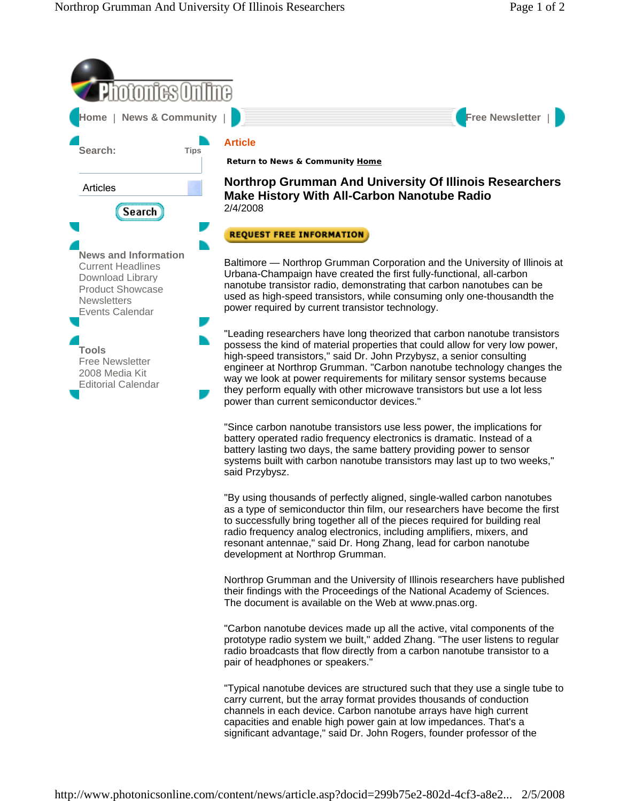